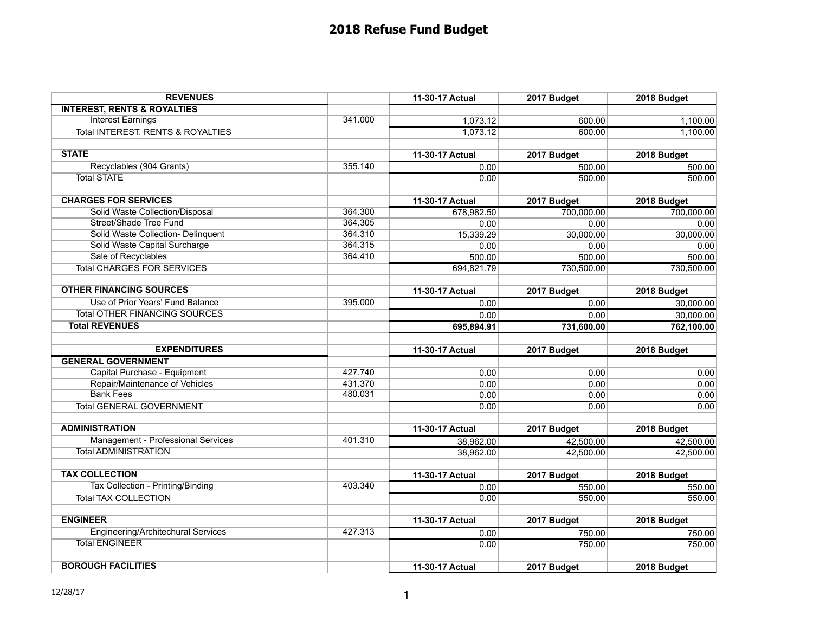## **2018 Refuse Fund Budget**

| <b>REVENUES</b>                        |         | 11-30-17 Actual   | 2017 Budget | 2018 Budget |
|----------------------------------------|---------|-------------------|-------------|-------------|
| <b>INTEREST, RENTS &amp; ROYALTIES</b> |         |                   |             |             |
| <b>Interest Earnings</b>               | 341.000 | 1,073.12          | 600.00      | 1,100.00    |
| Total INTEREST, RENTS & ROYALTIES      |         | 1,073.12          | 600.00      | 1,100.00    |
|                                        |         |                   |             |             |
| <b>STATE</b>                           |         | 11-30-17 Actual   | 2017 Budget | 2018 Budget |
| Recyclables (904 Grants)               | 355.140 | 0.00              | 500.00      | 500.00      |
| <b>Total STATE</b>                     |         | 0.00              | 500.00      | 500.00      |
|                                        |         |                   |             |             |
| <b>CHARGES FOR SERVICES</b>            |         | 11-30-17 Actual   | 2017 Budget | 2018 Budget |
| Solid Waste Collection/Disposal        | 364.300 | 678,982.50        | 700,000.00  | 700,000.00  |
| Street/Shade Tree Fund                 | 364.305 | 0.00              | 0.00        | 0.00        |
| Solid Waste Collection- Delinquent     | 364.310 | 15,339.29         | 30,000.00   | 30,000.00   |
| Solid Waste Capital Surcharge          | 364.315 | 0.00              | 0.00        | 0.00        |
| Sale of Recyclables                    | 364.410 | 500.00            | 500.00      | 500.00      |
| <b>Total CHARGES FOR SERVICES</b>      |         | 694,821.79        | 730,500.00  | 730,500.00  |
|                                        |         |                   |             |             |
| <b>OTHER FINANCING SOURCES</b>         |         | 11-30-17 Actual   | 2017 Budget | 2018 Budget |
| Use of Prior Years' Fund Balance       | 395.000 | 0.00              | 0.00        | 30,000.00   |
| <b>Total OTHER FINANCING SOURCES</b>   |         | 0.00              | 0.00        | 30,000.00   |
| <b>Total REVENUES</b>                  |         | 695,894.91        | 731,600.00  | 762,100.00  |
|                                        |         |                   |             |             |
| <b>EXPENDITURES</b>                    |         | 11-30-17 Actual   | 2017 Budget | 2018 Budget |
| <b>GENERAL GOVERNMENT</b>              |         |                   |             |             |
| Capital Purchase - Equipment           | 427.740 | 0.00              | 0.00        | 0.00        |
| Repair/Maintenance of Vehicles         | 431.370 | 0.00              | 0.00        | 0.00        |
| <b>Bank Fees</b>                       | 480.031 | 0.00              | 0.00        | 0.00        |
| <b>Total GENERAL GOVERNMENT</b>        |         | 0.00              | 0.00        | 0.00        |
|                                        |         |                   |             |             |
| <b>ADMINISTRATION</b>                  |         | 11-30-17 Actual   | 2017 Budget | 2018 Budget |
| Management - Professional Services     | 401.310 | 38,962.00         | 42,500.00   | 42,500.00   |
| <b>Total ADMINISTRATION</b>            |         | 38,962.00         | 42,500.00   | 42,500.00   |
|                                        |         |                   |             |             |
| <b>TAX COLLECTION</b>                  |         | 11-30-17 Actual   | 2017 Budget | 2018 Budget |
| Tax Collection - Printing/Binding      | 403.340 | $\overline{0.00}$ | 550.00      | 550.00      |
| <b>Total TAX COLLECTION</b>            |         | 0.00              | 550.00      | 550.00      |
|                                        |         |                   |             |             |
| <b>ENGINEER</b>                        |         | 11-30-17 Actual   | 2017 Budget | 2018 Budget |
| Engineering/Architechural Services     | 427.313 | 0.00              | 750.00      | 750.00      |
| <b>Total ENGINEER</b>                  |         | 0.00              | 750.00      | 750.00      |
|                                        |         |                   |             |             |
| <b>BOROUGH FACILITIES</b>              |         | 11-30-17 Actual   | 2017 Budget | 2018 Budget |